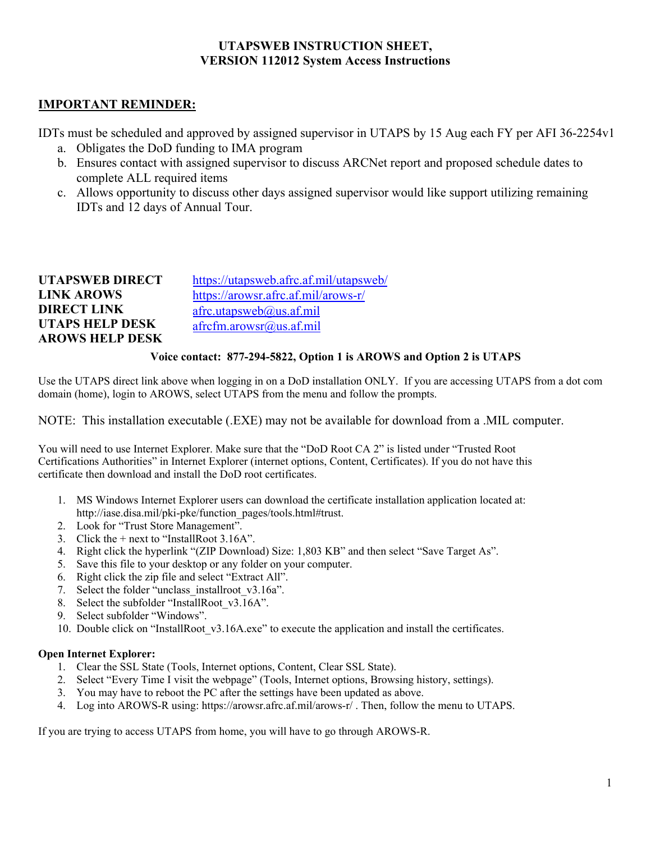#### **UTAPSWEB INSTRUCTION SHEET, VERSION 112012 System Access Instructions**

#### **IMPORTANT REMINDER:**

IDTs must be scheduled and approved by assigned supervisor in UTAPS by 15 Aug each FY per AFI 36-2254v1

- a. Obligates the DoD funding to IMA program
- b. Ensures contact with assigned supervisor to discuss ARCNet report and proposed schedule dates to complete ALL required items
- c. Allows opportunity to discuss other days assigned supervisor would like support utilizing remaining IDTs and 12 days of Annual Tour.

| <b>UTAPSWEB DIRECT</b> | https://utapsweb.afrc.af.mil/utapsweb/ |
|------------------------|----------------------------------------|
| <b>LINK AROWS</b>      | https://arowsr.afrc.af.mil/arows-r/    |
| <b>DIRECT LINK</b>     | $a$ frc.utapsweb $(a)$ us.af.mil       |
| <b>UTAPS HELP DESK</b> |                                        |
| <b>AROWS HELP DESK</b> |                                        |

#### **Voice contact: 877-294-5822, Option 1 is AROWS and Option 2 is UTAPS**

Use the UTAPS direct link above when logging in on a DoD installation ONLY. If you are accessing UTAPS from a dot com domain (home), login to AROWS, select UTAPS from the menu and follow the prompts.

NOTE: This installation executable (.EXE) may not be available for download from a .MIL computer.

You will need to use Internet Explorer. Make sure that the "DoD Root CA 2" is listed under "Trusted Root Certifications Authorities" in Internet Explorer (internet options, Content, Certificates). If you do not have this certificate then download and install the DoD root certificates.

- 1. MS Windows Internet Explorer users can download the certificate installation application located at: http://iase.disa.mil/pki-pke/function\_pages/tools.html#trust.
- 2. Look for "Trust Store Management".
- 3. Click the  $+$  next to "InstallRoot 3.16A".
- 4. Right click the hyperlink "(ZIP Download) Size: 1,803 KB" and then select "Save Target As".
- 5. Save this file to your desktop or any folder on your computer.
- 6. Right click the zip file and select "Extract All".
- 7. Select the folder "unclass installroot v3.16a".
- 8. Select the subfolder "InstallRoot v3.16A".
- 9. Select subfolder "Windows".
- 10. Double click on "InstallRoot\_v3.16A.exe" to execute the application and install the certificates.

#### **Open Internet Explorer:**

- 1. Clear the SSL State (Tools, Internet options, Content, Clear SSL State).
- 2. Select "Every Time I visit the webpage" (Tools, Internet options, Browsing history, settings).
- 3. You may have to reboot the PC after the settings have been updated as above.
- 4. Log into AROWS-R using: https://arowsr.afrc.af.mil/arows-r/ . Then, follow the menu to UTAPS.

If you are trying to access UTAPS from home, you will have to go through AROWS-R.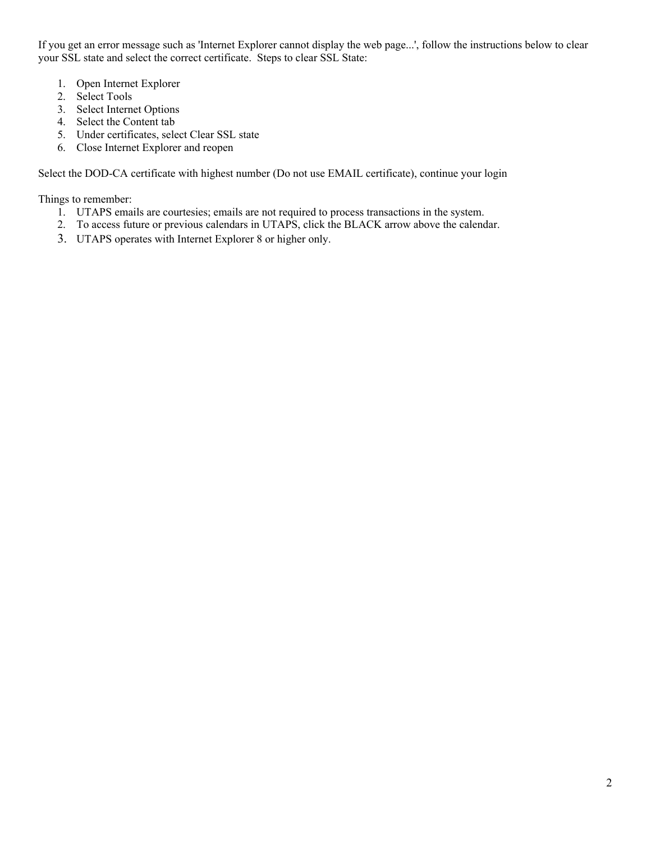If you get an error message such as 'Internet Explorer cannot display the web page...', follow the instructions below to clear your SSL state and select the correct certificate. Steps to clear SSL State:

- 1. Open Internet Explorer
- 2. Select Tools
- 3. Select Internet Options
- 4. Select the Content tab
- 5. Under certificates, select Clear SSL state
- 6. Close Internet Explorer and reopen

Select the DOD-CA certificate with highest number (Do not use EMAIL certificate), continue your login

Things to remember:

- 1. UTAPS emails are courtesies; emails are not required to process transactions in the system.
- 2. To access future or previous calendars in UTAPS, click the BLACK arrow above the calendar.
- 3. UTAPS operates with Internet Explorer 8 or higher only.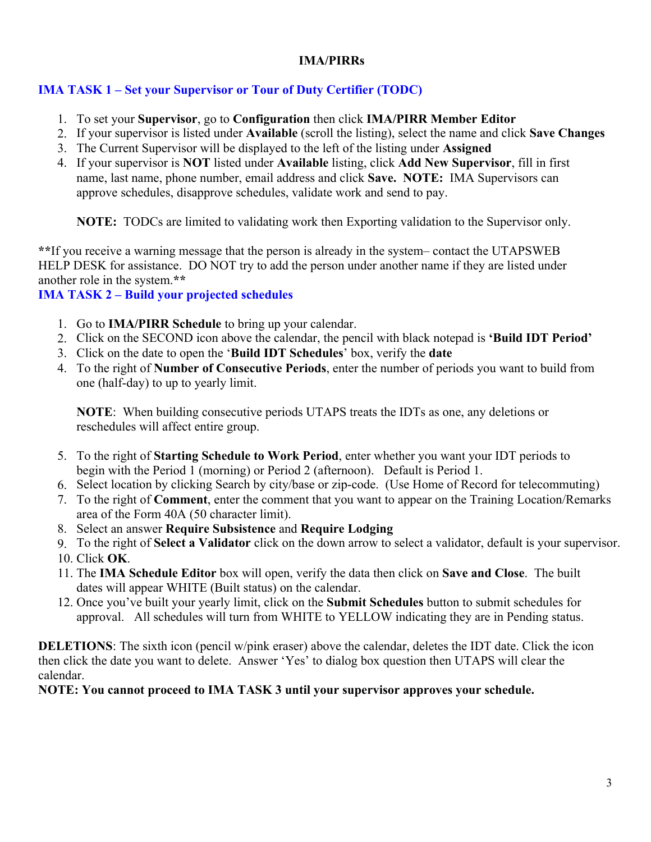#### **IMA/PIRRs**

## **IMA TASK 1 – Set your Supervisor or Tour of Duty Certifier (TODC)**

- 1. To set your **Supervisor**, go to **Configuration** then click **IMA/PIRR Member Editor**
- 2. If your supervisor is listed under **Available** (scroll the listing), select the name and click **Save Changes**
- 3. The Current Supervisor will be displayed to the left of the listing under **Assigned**
- 4. If your supervisor is **NOT** listed under **Available** listing, click **Add New Supervisor**, fill in first name, last name, phone number, email address and click **Save. NOTE:** IMA Supervisors can approve schedules, disapprove schedules, validate work and send to pay.

**NOTE:** TODCs are limited to validating work then Exporting validation to the Supervisor only.

**\*\***If you receive a warning message that the person is already in the system– contact the UTAPSWEB HELP DESK for assistance. DO NOT try to add the person under another name if they are listed under another role in the system.**\*\*** 

## **IMA TASK 2 – Build your projected schedules**

- 1. Go to **IMA/PIRR Schedule** to bring up your calendar.
- 2. Click on the SECOND icon above the calendar, the pencil with black notepad is **'Build IDT Period'**
- 3. Click on the date to open the '**Build IDT Schedules**' box, verify the **date**
- 4. To the right of **Number of Consecutive Periods**, enter the number of periods you want to build from one (half-day) to up to yearly limit.

**NOTE**: When building consecutive periods UTAPS treats the IDTs as one, any deletions or reschedules will affect entire group.

- 5. To the right of **Starting Schedule to Work Period**, enter whether you want your IDT periods to begin with the Period 1 (morning) or Period 2 (afternoon). Default is Period 1.
- 6. Select location by clicking Search by city/base or zip-code. (Use Home of Record for telecommuting)
- 7. To the right of **Comment**, enter the comment that you want to appear on the Training Location/Remarks area of the Form 40A (50 character limit).
- 8. Select an answer **Require Subsistence** and **Require Lodging**
- 9. To the right of **Select a Validator** click on the down arrow to select a validator, default is your supervisor.
- 10. Click **OK**.
- 11. The **IMA Schedule Editor** box will open, verify the data then click on **Save and Close**. The built dates will appear WHITE (Built status) on the calendar.
- 12. Once you've built your yearly limit, click on the **Submit Schedules** button to submit schedules for approval. All schedules will turn from WHITE to YELLOW indicating they are in Pending status.

**DELETIONS**: The sixth icon (pencil w/pink eraser) above the calendar, deletes the IDT date. Click the icon then click the date you want to delete. Answer 'Yes' to dialog box question then UTAPS will clear the calendar.

## **NOTE: You cannot proceed to IMA TASK 3 until your supervisor approves your schedule.**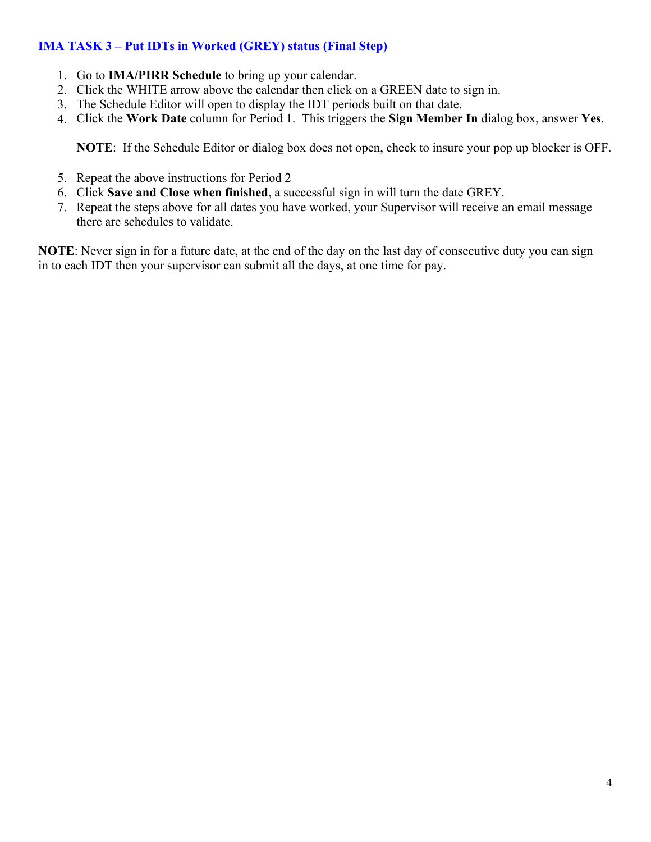## **IMA TASK 3 – Put IDTs in Worked (GREY) status (Final Step)**

- 1. Go to **IMA/PIRR Schedule** to bring up your calendar.
- 2. Click the WHITE arrow above the calendar then click on a GREEN date to sign in.
- 3. The Schedule Editor will open to display the IDT periods built on that date.
- 4. Click the **Work Date** column for Period 1. This triggers the **Sign Member In** dialog box, answer **Yes**.

**NOTE**: If the Schedule Editor or dialog box does not open, check to insure your pop up blocker is OFF.

- 5. Repeat the above instructions for Period 2
- 6. Click **Save and Close when finished**, a successful sign in will turn the date GREY.
- 7. Repeat the steps above for all dates you have worked, your Supervisor will receive an email message there are schedules to validate.

**NOTE**: Never sign in for a future date, at the end of the day on the last day of consecutive duty you can sign in to each IDT then your supervisor can submit all the days, at one time for pay.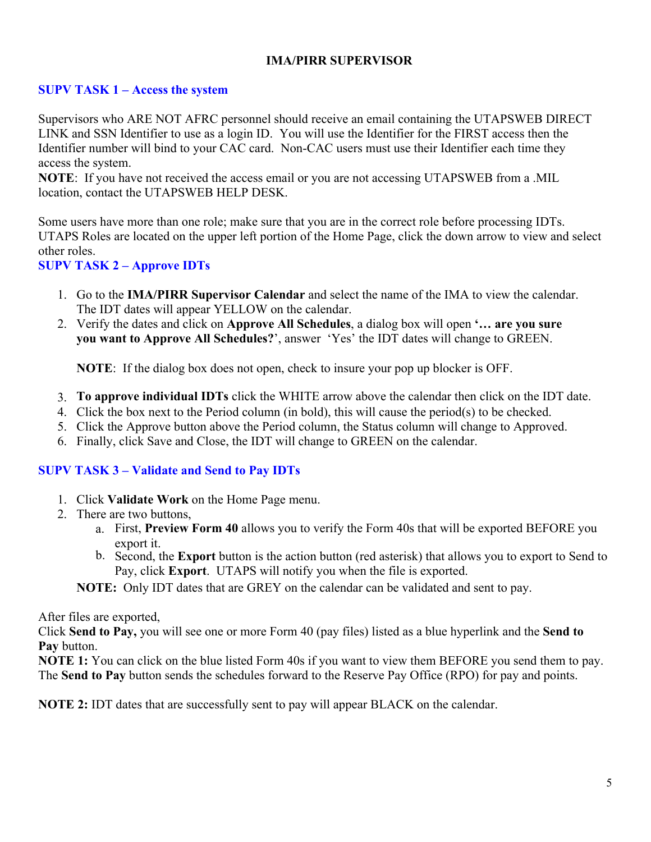#### **IMA/PIRR SUPERVISOR**

#### **SUPV TASK 1 – Access the system**

Supervisors who ARE NOT AFRC personnel should receive an email containing the UTAPSWEB DIRECT LINK and SSN Identifier to use as a login ID. You will use the Identifier for the FIRST access then the Identifier number will bind to your CAC card. Non-CAC users must use their Identifier each time they access the system.

**NOTE**: If you have not received the access email or you are not accessing UTAPSWEB from a .MIL location, contact the UTAPSWEB HELP DESK.

Some users have more than one role; make sure that you are in the correct role before processing IDTs. UTAPS Roles are located on the upper left portion of the Home Page, click the down arrow to view and select other roles.

#### **SUPV TASK 2 – Approve IDTs**

- 1. Go to the **IMA/PIRR Supervisor Calendar** and select the name of the IMA to view the calendar. The IDT dates will appear YELLOW on the calendar.
- 2. Verify the dates and click on **Approve All Schedules**, a dialog box will open **'… are you sure you want to Approve All Schedules?**', answer 'Yes' the IDT dates will change to GREEN.

**NOTE**: If the dialog box does not open, check to insure your pop up blocker is OFF.

- 3. **To approve individual IDTs** click the WHITE arrow above the calendar then click on the IDT date.
- 4. Click the box next to the Period column (in bold), this will cause the period(s) to be checked.
- 5. Click the Approve button above the Period column, the Status column will change to Approved.
- 6. Finally, click Save and Close, the IDT will change to GREEN on the calendar.

#### **SUPV TASK 3 – Validate and Send to Pay IDTs**

- 1. Click **Validate Work** on the Home Page menu.
- 2. There are two buttons,
	- a. First, **Preview Form 40** allows you to verify the Form 40s that will be exported BEFORE you export it.
	- b. Second, the **Export** button is the action button (red asterisk) that allows you to export to Send to Pay, click **Export**. UTAPS will notify you when the file is exported.
	- **NOTE:** Only IDT dates that are GREY on the calendar can be validated and sent to pay.

After files are exported,

Click **Send to Pay,** you will see one or more Form 40 (pay files) listed as a blue hyperlink and the **Send to Pay** button.

**NOTE 1:** You can click on the blue listed Form 40s if you want to view them BEFORE you send them to pay. The **Send to Pay** button sends the schedules forward to the Reserve Pay Office (RPO) for pay and points.

**NOTE 2:** IDT dates that are successfully sent to pay will appear BLACK on the calendar.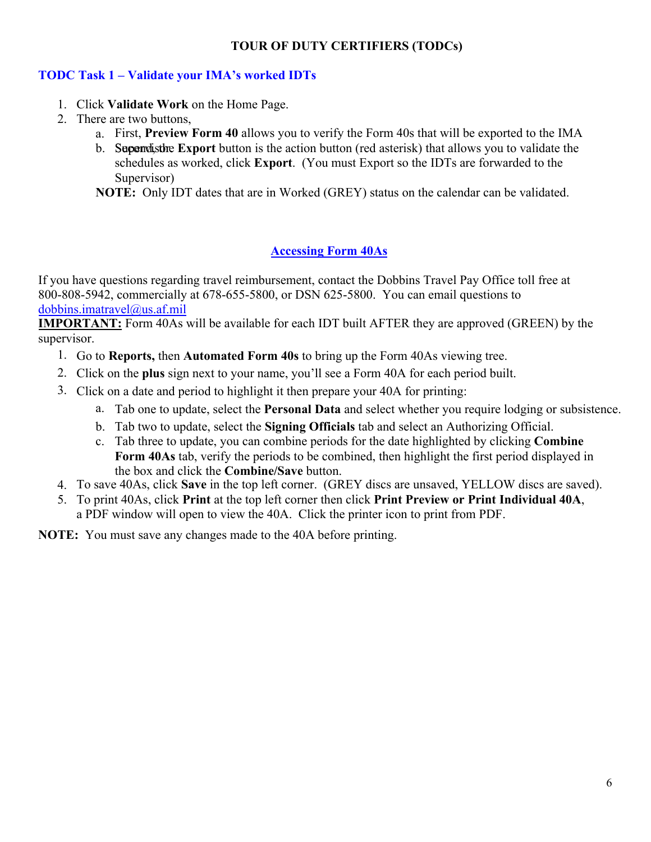## **TOUR OF DUTY CERTIFIERS (TODCs)**

## **TODC Task 1 – Validate your IMA's worked IDTs**

- 1. Click **Validate Work** on the Home Page.
- 2. There are two buttons,
	- a. First, **Preview Form 40** allows you to verify the Form 40s that will be exported to the IMA
	- b. **Supervistive Export** button is the action button (red asterisk) that allows you to validate the schedules as worked, click **Export**. (You must Export so the IDTs are forwarded to the Supervisor)

**NOTE:** Only IDT dates that are in Worked (GREY) status on the calendar can be validated.

## **Accessing Form 40As**

If you have questions regarding travel reimbursement, contact the Dobbins Travel Pay Office toll free at 800-808-5942, commercially at 678-655-5800, or DSN 625-5800. You can email questions to dobbins.imatravel@us.af.mil

**IMPORTANT:** Form 40As will be available for each IDT built AFTER they are approved (GREEN) by the supervisor.

- 1. Go to **Reports,** then **Automated Form 40s** to bring up the Form 40As viewing tree.
- 2. Click on the **plus** sign next to your name, you'll see a Form 40A for each period built.
- 3. Click on a date and period to highlight it then prepare your 40A for printing:
	- a. Tab one to update, select the **Personal Data** and select whether you require lodging or subsistence.
	- b. Tab two to update, select the **Signing Officials** tab and select an Authorizing Official.
	- c. Tab three to update, you can combine periods for the date highlighted by clicking **Combine Form 40As** tab, verify the periods to be combined, then highlight the first period displayed in the box and click the **Combine/Save** button.
- 4. To save 40As, click **Save** in the top left corner. (GREY discs are unsaved, YELLOW discs are saved).
- 5. To print 40As, click **Print** at the top left corner then click **Print Preview or Print Individual 40A**, a PDF window will open to view the 40A. Click the printer icon to print from PDF.

**NOTE:** You must save any changes made to the 40A before printing.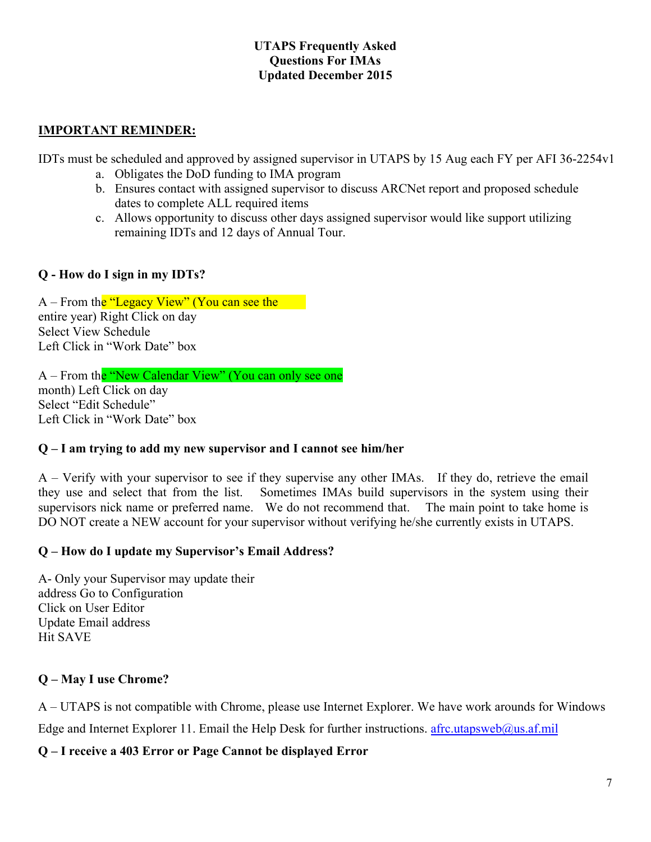#### **UTAPS Frequently Asked Questions For IMAs Updated December 2015**

#### **IMPORTANT REMINDER:**

IDTs must be scheduled and approved by assigned supervisor in UTAPS by 15 Aug each FY per AFI 36-2254v1

- a. Obligates the DoD funding to IMA program
- b. Ensures contact with assigned supervisor to discuss ARCNet report and proposed schedule dates to complete ALL required items
- c. Allows opportunity to discuss other days assigned supervisor would like support utilizing remaining IDTs and 12 days of Annual Tour.

## **Q - How do I sign in my IDTs?**

A – From the "Legacy View" (You can see the entire year) Right Click on day Select View Schedule Left Click in "Work Date" box

A – From the "New Calendar View" (You can only see one month) Left Click on day Select "Edit Schedule" Left Click in "Work Date" box

## **Q – I am trying to add my new supervisor and I cannot see him/her**

A – Verify with your supervisor to see if they supervise any other IMAs. If they do, retrieve the email they use and select that from the list. Sometimes IMAs build supervisors in the system using their supervisors nick name or preferred name. We do not recommend that. The main point to take home is DO NOT create a NEW account for your supervisor without verifying he/she currently exists in UTAPS.

## **Q – How do I update my Supervisor's Email Address?**

A- Only your Supervisor may update their address Go to Configuration Click on User Editor Update Email address Hit SAVE

# **Q – May I use Chrome?**

A – UTAPS is not compatible with Chrome, please use Internet Explorer. We have work arounds for Windows Edge and Internet Explorer 11. Email the Help Desk for further instructions. afrc.utapsweb@us.af.mil

**Q – I receive a 403 Error or Page Cannot be displayed Error**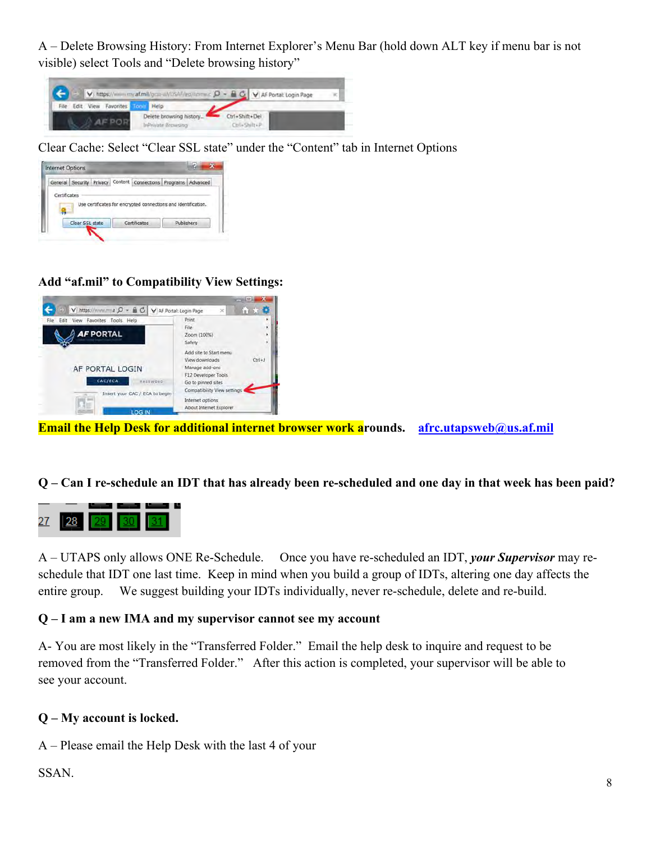A – Delete Browsing History: From Internet Explorer's Menu Bar (hold down ALT key if menu bar is not visible) select Tools and "Delete browsing history"

|  |                          |                         |                | V   https://www.myaf.mil/gca-al/USAF/eq/come c $D - B C$ V AF Portal: Login Page |  |
|--|--------------------------|-------------------------|----------------|----------------------------------------------------------------------------------|--|
|  | Edit View Favorites Tool | Help                    |                |                                                                                  |  |
|  |                          | Delete browsing history | Ctrl+Shift+Del |                                                                                  |  |
|  |                          | InPrivate Browsing      | Ctrl+Shilt+P   |                                                                                  |  |

Clear Cache: Select "Clear SSL state" under the "Content" tab in Internet Options

|              |  | General Security Privacy Content Connections Programs Advanced |  |
|--------------|--|----------------------------------------------------------------|--|
| Certificates |  |                                                                |  |
|              |  |                                                                |  |
|              |  |                                                                |  |
|              |  | Use certificates for encrypted connections and identification. |  |
|              |  |                                                                |  |

#### **Add "af.mil" to Compatibility View Settings:**



**Email the Help Desk for additional internet browser work a**rounds. afrc.utapsweb@us.af.mil

# **Q – Can I re-schedule an IDT that has already been re-scheduled and one day in that week has been paid?**



A – UTAPS only allows ONE Re-Schedule. Once you have re-scheduled an IDT, *your Supervisor* may reschedule that IDT one last time. Keep in mind when you build a group of IDTs, altering one day affects the entire group. We suggest building your IDTs individually, never re-schedule, delete and re-build.

#### **Q – I am a new IMA and my supervisor cannot see my account**

A- You are most likely in the "Transferred Folder." Email the help desk to inquire and request to be removed from the "Transferred Folder." After this action is completed, your supervisor will be able to see your account.

#### **Q – My account is locked.**

A – Please email the Help Desk with the last 4 of your

#### SSAN.